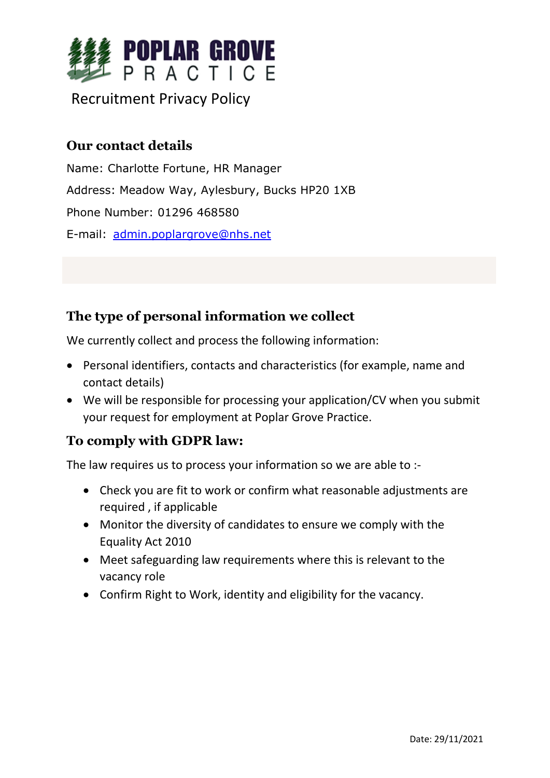

# Recruitment Privacy Policy

## **Our contact details**

Name: Charlotte Fortune, HR Manager Address: Meadow Way, Aylesbury, Bucks HP20 1XB Phone Number: 01296 468580 E-mail: [admin.poplargrove@nhs.net](mailto:admin.poplargrove@nhs.net)

## **The type of personal information we collect**

We currently collect and process the following information:

- Personal identifiers, contacts and characteristics (for example, name and contact details)
- We will be responsible for processing your application/CV when you submit your request for employment at Poplar Grove Practice.

## **To comply with GDPR law:**

The law requires us to process your information so we are able to :-

- Check you are fit to work or confirm what reasonable adjustments are required , if applicable
- Monitor the diversity of candidates to ensure we comply with the Equality Act 2010
- Meet safeguarding law requirements where this is relevant to the vacancy role
- Confirm Right to Work, identity and eligibility for the vacancy.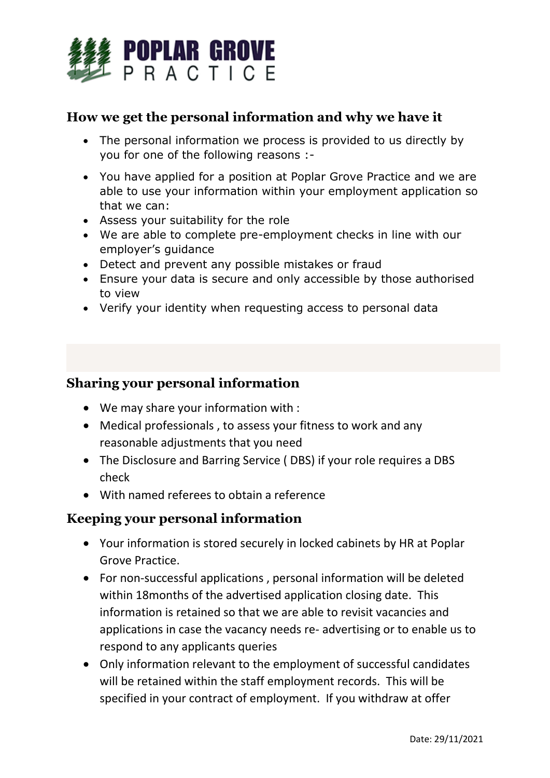

### **How we get the personal information and why we have it**

- The personal information we process is provided to us directly by you for one of the following reasons :-
- You have applied for a position at Poplar Grove Practice and we are able to use your information within your employment application so that we can:
- Assess your suitability for the role
- We are able to complete pre-employment checks in line with our employer's guidance
- Detect and prevent any possible mistakes or fraud
- Ensure your data is secure and only accessible by those authorised to view
- Verify your identity when requesting access to personal data

### **Sharing your personal information**

- We may share your information with :
- Medical professionals , to assess your fitness to work and any reasonable adjustments that you need
- The Disclosure and Barring Service ( DBS) if your role requires a DBS check
- With named referees to obtain a reference

### **Keeping your personal information**

- Your information is stored securely in locked cabinets by HR at Poplar Grove Practice.
- For non-successful applications , personal information will be deleted within 18months of the advertised application closing date. This information is retained so that we are able to revisit vacancies and applications in case the vacancy needs re- advertising or to enable us to respond to any applicants queries
- Only information relevant to the employment of successful candidates will be retained within the staff employment records. This will be specified in your contract of employment. If you withdraw at offer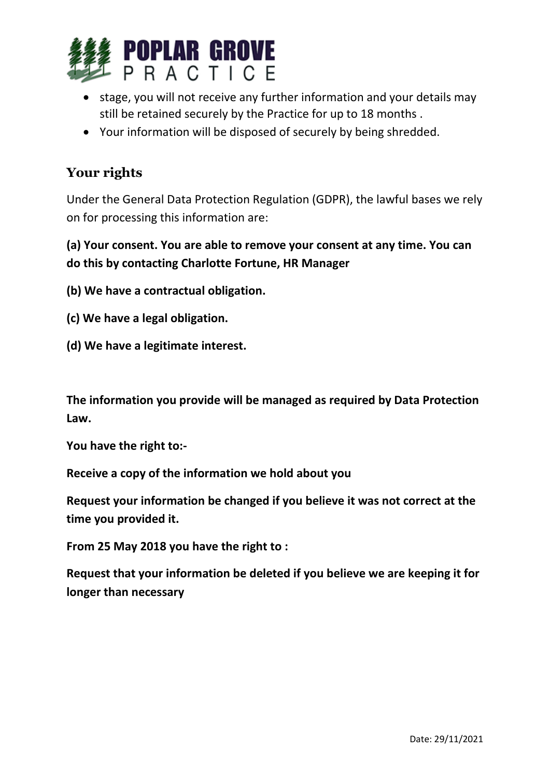

- stage, you will not receive any further information and your details may still be retained securely by the Practice for up to 18 months .
- Your information will be disposed of securely by being shredded.

## **Your rights**

Under the General Data Protection Regulation (GDPR), the lawful bases we rely on for processing this information are:

**(a) Your consent. You are able to remove your consent at any time. You can do this by contacting Charlotte Fortune, HR Manager**

**(b) We have a contractual obligation.**

- **(c) We have a legal obligation.**
- **(d) We have a legitimate interest.**

**The information you provide will be managed as required by Data Protection Law.**

**You have the right to:-**

**Receive a copy of the information we hold about you**

**Request your information be changed if you believe it was not correct at the time you provided it.**

**From 25 May 2018 you have the right to :**

**Request that your information be deleted if you believe we are keeping it for longer than necessary**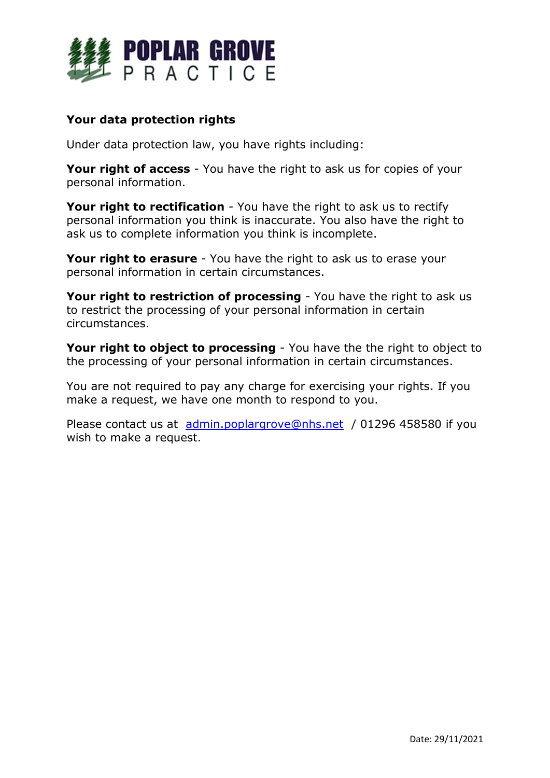

#### **Your data protection rights**

Under data protection law, you have rights including:

**Your right of access** - You have the right to ask us for copies of your personal information.

**Your right to rectification** - You have the right to ask us to rectify personal information you think is inaccurate. You also have the right to ask us to complete information you think is incomplete.

**Your right to erasure** - You have the right to ask us to erase your personal information in certain circumstances.

**Your right to restriction of processing** - You have the right to ask us to restrict the processing of your personal information in certain circumstances.

**Your right to object to processing** - You have the the right to object to the processing of your personal information in certain circumstances.

You are not required to pay any charge for exercising your rights. If you make a request, we have one month to respond to you.

Please contact us at [admin.poplargrove@nhs.net](mailto:admin.poplargrove@nhs.net) / 01296 458580 if you wish to make a request.